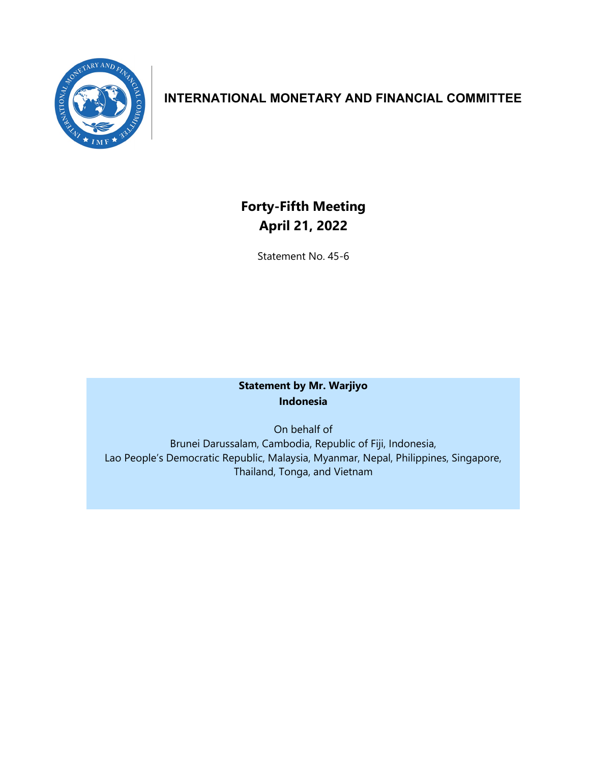

## **INTERNATIONAL MONETARY AND FINANCIAL COMMITTEE**

# **Forty-Fifth Meeting April 21, 2022**

Statement No. 45-6

### **Statement by Mr. Warjiyo Indonesia**

On behalf of Brunei Darussalam, Cambodia, Republic of Fiji, Indonesia, Lao People's Democratic Republic, Malaysia, Myanmar, Nepal, Philippines, Singapore, Thailand, Tonga, and Vietnam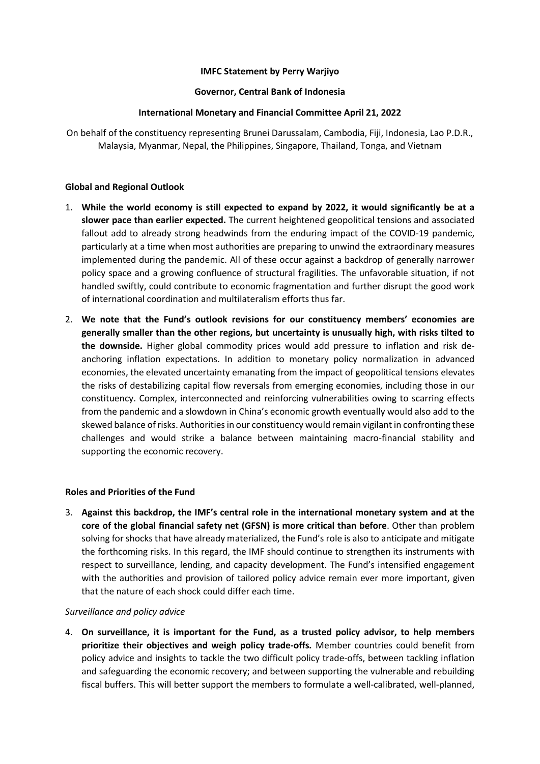#### **IMFC Statement by Perry Warjiyo**

#### **Governor, Central Bank of Indonesia**

#### **International Monetary and Financial Committee April 21, 2022**

On behalf of the constituency representing Brunei Darussalam, Cambodia, Fiji, Indonesia, Lao P.D.R., Malaysia, Myanmar, Nepal, the Philippines, Singapore, Thailand, Tonga, and Vietnam

#### **Global and Regional Outlook**

- 1. **While the world economy is still expected to expand by 2022, it would significantly be at a slower pace than earlier expected.** The current heightened geopolitical tensions and associated fallout add to already strong headwinds from the enduring impact of the COVID-19 pandemic, particularly at a time when most authorities are preparing to unwind the extraordinary measures implemented during the pandemic. All of these occur against a backdrop of generally narrower policy space and a growing confluence of structural fragilities. The unfavorable situation, if not handled swiftly, could contribute to economic fragmentation and further disrupt the good work of international coordination and multilateralism efforts thus far.
- 2. **We note that the Fund's outlook revisions for our constituency members' economies are generally smaller than the other regions, but uncertainty is unusually high, with risks tilted to the downside.** Higher global commodity prices would add pressure to inflation and risk deanchoring inflation expectations. In addition to monetary policy normalization in advanced economies, the elevated uncertainty emanating from the impact of geopolitical tensions elevates the risks of destabilizing capital flow reversals from emerging economies, including those in our constituency. Complex, interconnected and reinforcing vulnerabilities owing to scarring effects from the pandemic and a slowdown in China's economic growth eventually would also add to the skewed balance of risks. Authorities in our constituency would remain vigilant in confronting these challenges and would strike a balance between maintaining macro-financial stability and supporting the economic recovery.

#### **Roles and Priorities of the Fund**

3. **Against this backdrop, the IMF's central role in the international monetary system and at the core of the global financial safety net (GFSN) is more critical than before**. Other than problem solving for shocks that have already materialized, the Fund's role is also to anticipate and mitigate the forthcoming risks. In this regard, the IMF should continue to strengthen its instruments with respect to surveillance, lending, and capacity development. The Fund's intensified engagement with the authorities and provision of tailored policy advice remain ever more important, given that the nature of each shock could differ each time.

#### *Surveillance and policy advice*

4. **On surveillance, it is important for the Fund, as a trusted policy advisor, to help members prioritize their objectives and weigh policy trade-offs***.* Member countries could benefit from policy advice and insights to tackle the two difficult policy trade-offs, between tackling inflation and safeguarding the economic recovery; and between supporting the vulnerable and rebuilding fiscal buffers. This will better support the members to formulate a well-calibrated, well-planned,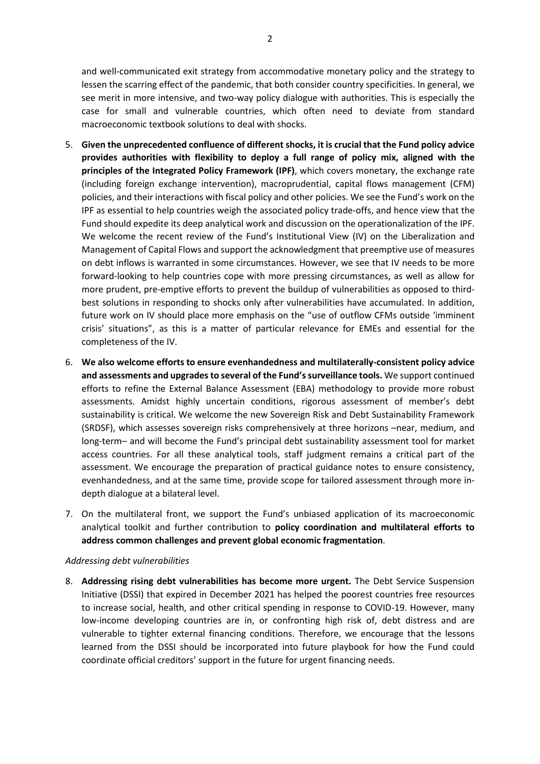and well-communicated exit strategy from accommodative monetary policy and the strategy to lessen the scarring effect of the pandemic, that both consider country specificities. In general, we see merit in more intensive, and two-way policy dialogue with authorities. This is especially the case for small and vulnerable countries, which often need to deviate from standard macroeconomic textbook solutions to deal with shocks.

- 5. **Given the unprecedented confluence of different shocks, it is crucial that the Fund policy advice provides authorities with flexibility to deploy a full range of policy mix, aligned with the principles of the Integrated Policy Framework (IPF)**, which covers monetary, the exchange rate (including foreign exchange intervention), macroprudential, capital flows management (CFM) policies, and their interactions with fiscal policy and other policies. We see the Fund's work on the IPF as essential to help countries weigh the associated policy trade-offs, and hence view that the Fund should expedite its deep analytical work and discussion on the operationalization of the IPF. We welcome the recent review of the Fund's Institutional View (IV) on the Liberalization and Management of Capital Flows and support the acknowledgment that preemptive use of measures on debt inflows is warranted in some circumstances. However, we see that IV needs to be more forward-looking to help countries cope with more pressing circumstances, as well as allow for more prudent, pre-emptive efforts to prevent the buildup of vulnerabilities as opposed to thirdbest solutions in responding to shocks only after vulnerabilities have accumulated. In addition, future work on IV should place more emphasis on the "use of outflow CFMs outside 'imminent crisis' situations", as this is a matter of particular relevance for EMEs and essential for the completeness of the IV.
- 6. **We also welcome efforts to ensure evenhandedness and multilaterally-consistent policy advice and assessments and upgradesto several of the Fund's surveillance tools.** We support continued efforts to refine the External Balance Assessment (EBA) methodology to provide more robust assessments. Amidst highly uncertain conditions, rigorous assessment of member's debt sustainability is critical. We welcome the new Sovereign Risk and Debt Sustainability Framework (SRDSF), which assesses sovereign risks comprehensively at three horizons –near, medium, and long-term– and will become the Fund's principal debt sustainability assessment tool for market access countries. For all these analytical tools, staff judgment remains a critical part of the assessment. We encourage the preparation of practical guidance notes to ensure consistency, evenhandedness, and at the same time, provide scope for tailored assessment through more indepth dialogue at a bilateral level.
- 7. On the multilateral front, we support the Fund's unbiased application of its macroeconomic analytical toolkit and further contribution to **policy coordination and multilateral efforts to address common challenges and prevent global economic fragmentation**.

#### *Addressing debt vulnerabilities*

8. **Addressing rising debt vulnerabilities has become more urgent.** The Debt Service Suspension Initiative (DSSI) that expired in December 2021 has helped the poorest countries free resources to increase social, health, and other critical spending in response to COVID-19. However, many low-income developing countries are in, or confronting high risk of, debt distress and are vulnerable to tighter external financing conditions. Therefore, we encourage that the lessons learned from the DSSI should be incorporated into future playbook for how the Fund could coordinate official creditors' support in the future for urgent financing needs.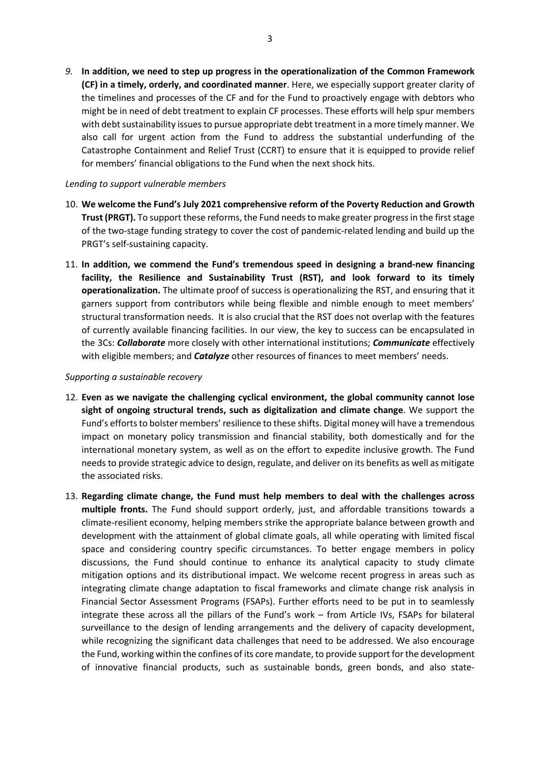*9.* **In addition, we need to step up progress in the operationalization of the Common Framework (CF) in a timely, orderly, and coordinated manner**. Here, we especially support greater clarity of the timelines and processes of the CF and for the Fund to proactively engage with debtors who might be in need of debt treatment to explain CF processes. These efforts will help spur members with debt sustainability issues to pursue appropriate debt treatment in a more timely manner. We also call for urgent action from the Fund to address the substantial underfunding of the Catastrophe Containment and Relief Trust (CCRT) to ensure that it is equipped to provide relief for members' financial obligations to the Fund when the next shock hits.

#### *Lending to support vulnerable members*

- 10. **We welcome the Fund's July 2021 comprehensive reform of the Poverty Reduction and Growth Trust (PRGT).** To support these reforms, the Fund needs to make greater progress in the first stage of the two-stage funding strategy to cover the cost of pandemic-related lending and build up the PRGT's self-sustaining capacity.
- 11. **In addition, we commend the Fund's tremendous speed in designing a brand-new financing facility, the Resilience and Sustainability Trust (RST), and look forward to its timely operationalization.** The ultimate proof of success is operationalizing the RST, and ensuring that it garners support from contributors while being flexible and nimble enough to meet members' structural transformation needs. It is also crucial that the RST does not overlap with the features of currently available financing facilities. In our view, the key to success can be encapsulated in the 3Cs: *Collaborate* more closely with other international institutions; *Communicate* effectively with eligible members; and *Catalyze* other resources of finances to meet members' needs.

#### *Supporting a sustainable recovery*

- 12. **Even as we navigate the challenging cyclical environment, the global community cannot lose sight of ongoing structural trends, such as digitalization and climate change**. We support the Fund's efforts to bolster members' resilience to these shifts. Digital money will have a tremendous impact on monetary policy transmission and financial stability, both domestically and for the international monetary system, as well as on the effort to expedite inclusive growth. The Fund needs to provide strategic advice to design, regulate, and deliver on its benefits as well as mitigate the associated risks.
- 13. **Regarding climate change, the Fund must help members to deal with the challenges across multiple fronts.** The Fund should support orderly, just, and affordable transitions towards a climate-resilient economy, helping members strike the appropriate balance between growth and development with the attainment of global climate goals, all while operating with limited fiscal space and considering country specific circumstances. To better engage members in policy discussions, the Fund should continue to enhance its analytical capacity to study climate mitigation options and its distributional impact. We welcome recent progress in areas such as integrating climate change adaptation to fiscal frameworks and climate change risk analysis in Financial Sector Assessment Programs (FSAPs). Further efforts need to be put in to seamlessly integrate these across all the pillars of the Fund's work – from Article IVs, FSAPs for bilateral surveillance to the design of lending arrangements and the delivery of capacity development, while recognizing the significant data challenges that need to be addressed. We also encourage the Fund, working within the confines of its core mandate, to provide support for the development of innovative financial products, such as sustainable bonds, green bonds, and also state-